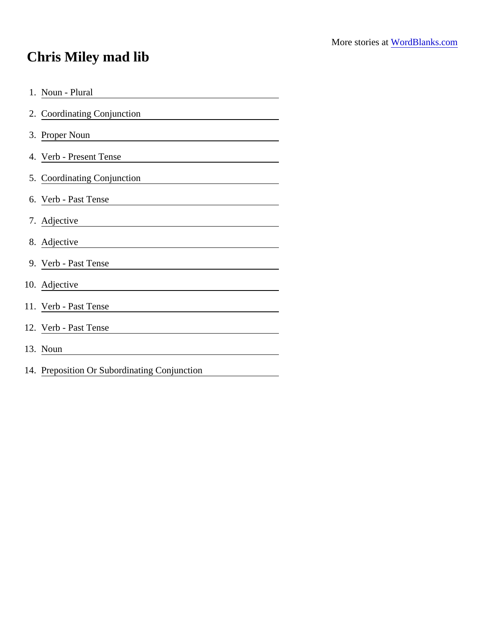## Chris Miley mad lib

| 1. Noun - Plural                                                |
|-----------------------------------------------------------------|
| 2. Coordinating Conjunction                                     |
| 3. Proper Noun<br><u> 1989 - Andrea Andrew Maria (h. 1989).</u> |
| 4. Verb - Present Tense                                         |
| 5. Coordinating Conjunction                                     |
| 6. Verb - Past Tense                                            |
| 7. Adjective                                                    |
| 8. Adjective                                                    |
| 9. Verb - Past Tense                                            |
| 10. Adjective                                                   |
| 11. Verb - Past Tense                                           |
| 12. Verb - Past Tense                                           |
| 13. Noun                                                        |
| 14. Preposition Or Subordinating Conjunction                    |